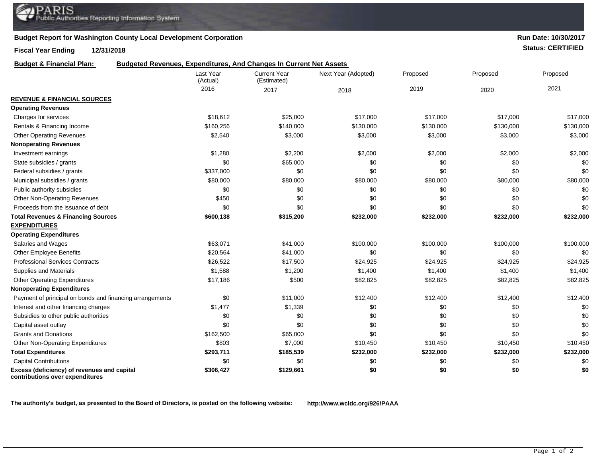## **Budget Report for Washington County Local Development Corporation**

## **Fiscal Year Ending 12/31/2018 Status: CERTIFIED**

**contributions over expenditures**

**Run Date: 10/30/2017**

| <b>Budget &amp; Financial Plan:</b>                      | <b>Budgeted Revenues, Expenditures, And Changes In Current Net Assets</b> |                                    |                     |           |           |           |
|----------------------------------------------------------|---------------------------------------------------------------------------|------------------------------------|---------------------|-----------|-----------|-----------|
|                                                          | Last Year<br>(Actual)                                                     | <b>Current Year</b><br>(Estimated) | Next Year (Adopted) | Proposed  | Proposed  | Proposed  |
|                                                          | 2016                                                                      | 2017                               | 2018                | 2019      | 2020      | 2021      |
| <b>REVENUE &amp; FINANCIAL SOURCES</b>                   |                                                                           |                                    |                     |           |           |           |
| <b>Operating Revenues</b>                                |                                                                           |                                    |                     |           |           |           |
| Charges for services                                     | \$18,612                                                                  | \$25,000                           | \$17,000            | \$17,000  | \$17,000  | \$17,000  |
| Rentals & Financing Income                               | \$160,256                                                                 | \$140,000                          | \$130,000           | \$130,000 | \$130,000 | \$130,000 |
| <b>Other Operating Revenues</b>                          | \$2,540                                                                   | \$3,000                            | \$3,000             | \$3,000   | \$3,000   | \$3,000   |
| <b>Nonoperating Revenues</b>                             |                                                                           |                                    |                     |           |           |           |
| Investment earnings                                      | \$1,280                                                                   | \$2,200                            | \$2,000             | \$2,000   | \$2,000   | \$2,000   |
| State subsidies / grants                                 | \$0                                                                       | \$65,000                           | \$0                 | \$0       | \$0       | \$0       |
| Federal subsidies / grants                               | \$337,000                                                                 | \$0                                | \$0                 | \$0       | \$0       | \$0       |
| Municipal subsidies / grants                             | \$80,000                                                                  | \$80,000                           | \$80,000            | \$80,000  | \$80,000  | \$80,000  |
| Public authority subsidies                               | \$0                                                                       | \$0                                | \$0                 | \$0       | \$0       | \$0       |
| <b>Other Non-Operating Revenues</b>                      | \$450                                                                     | \$0                                | \$0                 | \$0       | \$0       | \$0       |
| Proceeds from the issuance of debt                       | \$0                                                                       | \$0                                | \$0                 | \$0       | \$0       | \$0       |
| <b>Total Revenues &amp; Financing Sources</b>            | \$600,138                                                                 | \$315,200                          | \$232,000           | \$232,000 | \$232,000 | \$232,000 |
| <b>EXPENDITURES</b>                                      |                                                                           |                                    |                     |           |           |           |
| <b>Operating Expenditures</b>                            |                                                                           |                                    |                     |           |           |           |
| Salaries and Wages                                       | \$63,071                                                                  | \$41,000                           | \$100,000           | \$100,000 | \$100,000 | \$100,000 |
| <b>Other Employee Benefits</b>                           | \$20,564                                                                  | \$41,000                           | \$0                 | \$0       | \$0       | \$0       |
| <b>Professional Services Contracts</b>                   | \$26,522                                                                  | \$17,500                           | \$24,925            | \$24,925  | \$24,925  | \$24,925  |
| Supplies and Materials                                   | \$1,588                                                                   | \$1,200                            | \$1,400             | \$1,400   | \$1,400   | \$1,400   |
| <b>Other Operating Expenditures</b>                      | \$17,186                                                                  | \$500                              | \$82,825            | \$82,825  | \$82,825  | \$82,825  |
| <b>Nonoperating Expenditures</b>                         |                                                                           |                                    |                     |           |           |           |
| Payment of principal on bonds and financing arrangements | \$0                                                                       | \$11,000                           | \$12,400            | \$12,400  | \$12,400  | \$12,400  |
| Interest and other financing charges                     | \$1,477                                                                   | \$1,339                            | \$0                 | \$0       | \$0       | \$0       |
| Subsidies to other public authorities                    | \$0                                                                       | \$0                                | \$0                 | \$0       | \$0       | \$0       |
| Capital asset outlay                                     | \$0                                                                       | \$0                                | \$0                 | \$0       | \$0       | \$0       |
| <b>Grants and Donations</b>                              | \$162,500                                                                 | \$65,000                           | \$0                 | \$0       | \$0       | \$0       |
| <b>Other Non-Operating Expenditures</b>                  | \$803                                                                     | \$7,000                            | \$10,450            | \$10,450  | \$10,450  | \$10,450  |
| <b>Total Expenditures</b>                                | \$293,711                                                                 | \$185,539                          | \$232,000           | \$232,000 | \$232,000 | \$232,000 |
| <b>Capital Contributions</b>                             | \$0                                                                       | \$0                                | \$0                 | \$0       | \$0       | \$0       |
| Excess (deficiency) of revenues and capital              | \$306,427                                                                 | \$129,661                          | \$0                 | \$0       | \$0       | \$0       |

**The authority's budget, as presented to the Board of Directors, is posted on the following website: http://www.wcldc.org/926/PAAA**